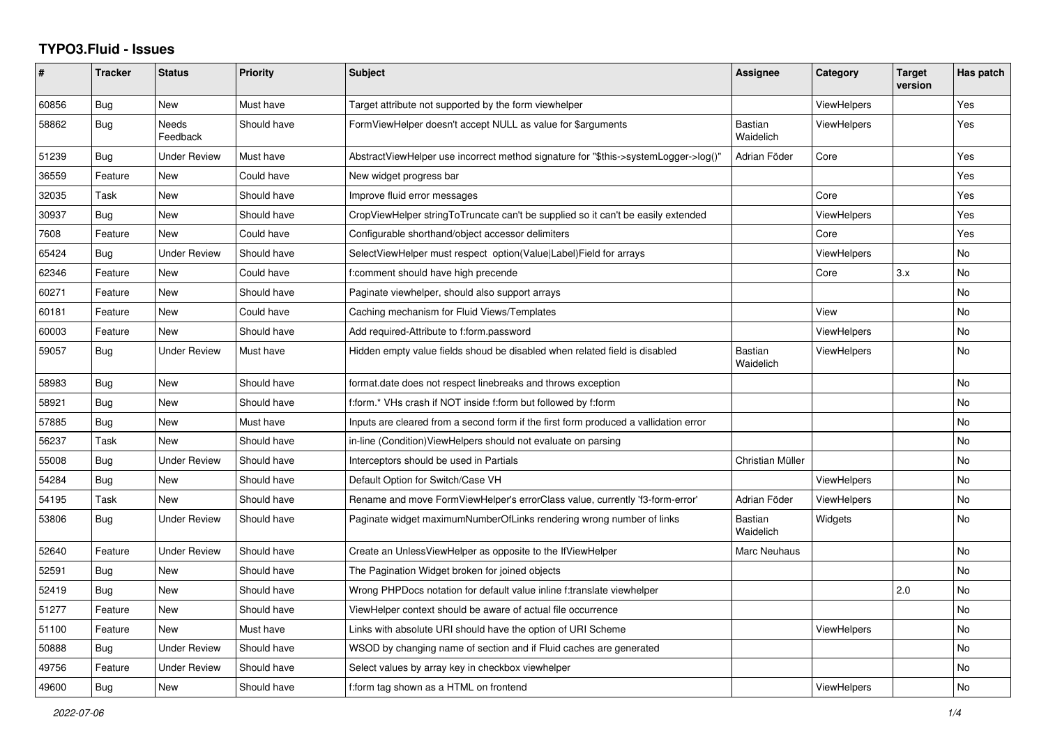## **TYPO3.Fluid - Issues**

| #     | <b>Tracker</b> | <b>Status</b>            | Priority    | Subject                                                                              | Assignee                    | Category           | <b>Target</b><br>version | Has patch |
|-------|----------------|--------------------------|-------------|--------------------------------------------------------------------------------------|-----------------------------|--------------------|--------------------------|-----------|
| 60856 | Bug            | <b>New</b>               | Must have   | Target attribute not supported by the form viewhelper                                |                             | ViewHelpers        |                          | Yes       |
| 58862 | Bug            | <b>Needs</b><br>Feedback | Should have | FormViewHelper doesn't accept NULL as value for \$arguments                          | <b>Bastian</b><br>Waidelich | <b>ViewHelpers</b> |                          | Yes       |
| 51239 | Bug            | <b>Under Review</b>      | Must have   | AbstractViewHelper use incorrect method signature for "\$this->systemLogger->log()"  | Adrian Föder                | Core               |                          | Yes       |
| 36559 | Feature        | <b>New</b>               | Could have  | New widget progress bar                                                              |                             |                    |                          | Yes       |
| 32035 | Task           | New                      | Should have | Improve fluid error messages                                                         |                             | Core               |                          | Yes       |
| 30937 | <b>Bug</b>     | <b>New</b>               | Should have | CropViewHelper stringToTruncate can't be supplied so it can't be easily extended     |                             | ViewHelpers        |                          | Yes       |
| 7608  | Feature        | <b>New</b>               | Could have  | Configurable shorthand/object accessor delimiters                                    |                             | Core               |                          | Yes       |
| 65424 | Bug            | <b>Under Review</b>      | Should have | SelectViewHelper must respect option(Value Label)Field for arrays                    |                             | <b>ViewHelpers</b> |                          | <b>No</b> |
| 62346 | Feature        | New                      | Could have  | f:comment should have high precende                                                  |                             | Core               | 3.x                      | No        |
| 60271 | Feature        | New                      | Should have | Paginate viewhelper, should also support arrays                                      |                             |                    |                          | No        |
| 60181 | Feature        | <b>New</b>               | Could have  | Caching mechanism for Fluid Views/Templates                                          |                             | View               |                          | <b>No</b> |
| 60003 | Feature        | <b>New</b>               | Should have | Add required-Attribute to f:form.password                                            |                             | <b>ViewHelpers</b> |                          | <b>No</b> |
| 59057 | Bug            | <b>Under Review</b>      | Must have   | Hidden empty value fields shoud be disabled when related field is disabled           | <b>Bastian</b><br>Waidelich | ViewHelpers        |                          | No        |
| 58983 | Bug            | New                      | Should have | format.date does not respect linebreaks and throws exception                         |                             |                    |                          | No        |
| 58921 | Bug            | New                      | Should have | f:form.* VHs crash if NOT inside f:form but followed by f:form                       |                             |                    |                          | No        |
| 57885 | Bug            | <b>New</b>               | Must have   | Inputs are cleared from a second form if the first form produced a vallidation error |                             |                    |                          | <b>No</b> |
| 56237 | Task           | <b>New</b>               | Should have | in-line (Condition) View Helpers should not evaluate on parsing                      |                             |                    |                          | No        |
| 55008 | Bug            | Under Review             | Should have | Interceptors should be used in Partials                                              | Christian Müller            |                    |                          | No        |
| 54284 | Bug            | <b>New</b>               | Should have | Default Option for Switch/Case VH                                                    |                             | <b>ViewHelpers</b> |                          | No        |
| 54195 | Task           | <b>New</b>               | Should have | Rename and move FormViewHelper's errorClass value, currently 'f3-form-error'         | Adrian Föder                | ViewHelpers        |                          | <b>No</b> |
| 53806 | Bug            | <b>Under Review</b>      | Should have | Paginate widget maximumNumberOfLinks rendering wrong number of links                 | <b>Bastian</b><br>Waidelich | Widgets            |                          | <b>No</b> |
| 52640 | Feature        | <b>Under Review</b>      | Should have | Create an UnlessViewHelper as opposite to the IfViewHelper                           | Marc Neuhaus                |                    |                          | No        |
| 52591 | Bug            | <b>New</b>               | Should have | The Pagination Widget broken for joined objects                                      |                             |                    |                          | <b>No</b> |
| 52419 | <b>Bug</b>     | New                      | Should have | Wrong PHPDocs notation for default value inline f:translate viewhelper               |                             |                    | 2.0                      | No        |
| 51277 | Feature        | <b>New</b>               | Should have | ViewHelper context should be aware of actual file occurrence                         |                             |                    |                          | <b>No</b> |
| 51100 | Feature        | <b>New</b>               | Must have   | Links with absolute URI should have the option of URI Scheme                         |                             | <b>ViewHelpers</b> |                          | No        |
| 50888 | Bug            | <b>Under Review</b>      | Should have | WSOD by changing name of section and if Fluid caches are generated                   |                             |                    |                          | No        |
| 49756 | Feature        | <b>Under Review</b>      | Should have | Select values by array key in checkbox viewhelper                                    |                             |                    |                          | No        |
| 49600 | <b>Bug</b>     | New                      | Should have | f:form tag shown as a HTML on frontend                                               |                             | ViewHelpers        |                          | <b>No</b> |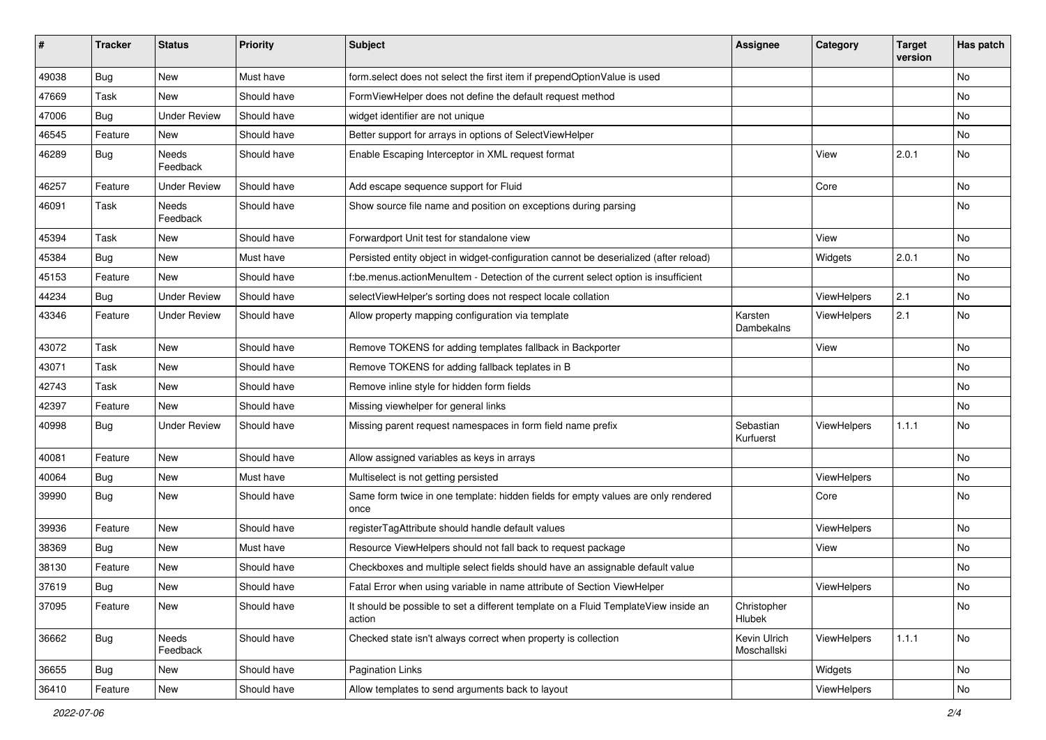| #     | <b>Tracker</b> | <b>Status</b>       | <b>Priority</b> | Subject                                                                                       | <b>Assignee</b>             | Category           | <b>Target</b><br>version | Has patch |
|-------|----------------|---------------------|-----------------|-----------------------------------------------------------------------------------------------|-----------------------------|--------------------|--------------------------|-----------|
| 49038 | Bug            | New                 | Must have       | form.select does not select the first item if prependOptionValue is used                      |                             |                    |                          | <b>No</b> |
| 47669 | Task           | New                 | Should have     | FormViewHelper does not define the default request method                                     |                             |                    |                          | No        |
| 47006 | <b>Bug</b>     | <b>Under Review</b> | Should have     | widget identifier are not unique                                                              |                             |                    |                          | No        |
| 46545 | Feature        | New                 | Should have     | Better support for arrays in options of SelectViewHelper                                      |                             |                    |                          | No        |
| 46289 | <b>Bug</b>     | Needs<br>Feedback   | Should have     | Enable Escaping Interceptor in XML request format                                             |                             | View               | 2.0.1                    | No        |
| 46257 | Feature        | <b>Under Review</b> | Should have     | Add escape sequence support for Fluid                                                         |                             | Core               |                          | No        |
| 46091 | Task           | Needs<br>Feedback   | Should have     | Show source file name and position on exceptions during parsing                               |                             |                    |                          | <b>No</b> |
| 45394 | Task           | New                 | Should have     | Forwardport Unit test for standalone view                                                     |                             | View               |                          | No        |
| 45384 | <b>Bug</b>     | New                 | Must have       | Persisted entity object in widget-configuration cannot be deserialized (after reload)         |                             | Widgets            | 2.0.1                    | No        |
| 45153 | Feature        | <b>New</b>          | Should have     | f:be.menus.actionMenuItem - Detection of the current select option is insufficient            |                             |                    |                          | No        |
| 44234 | Bug            | <b>Under Review</b> | Should have     | selectViewHelper's sorting does not respect locale collation                                  |                             | ViewHelpers        | 2.1                      | No        |
| 43346 | Feature        | <b>Under Review</b> | Should have     | Allow property mapping configuration via template                                             | Karsten<br>Dambekalns       | ViewHelpers        | 2.1                      | <b>No</b> |
| 43072 | Task           | New                 | Should have     | Remove TOKENS for adding templates fallback in Backporter                                     |                             | View               |                          | No        |
| 43071 | Task           | <b>New</b>          | Should have     | Remove TOKENS for adding fallback teplates in B                                               |                             |                    |                          | No        |
| 42743 | Task           | New                 | Should have     | Remove inline style for hidden form fields                                                    |                             |                    |                          | No        |
| 42397 | Feature        | New                 | Should have     | Missing viewhelper for general links                                                          |                             |                    |                          | No        |
| 40998 | Bug            | <b>Under Review</b> | Should have     | Missing parent request namespaces in form field name prefix                                   | Sebastian<br>Kurfuerst      | <b>ViewHelpers</b> | 1.1.1                    | No        |
| 40081 | Feature        | <b>New</b>          | Should have     | Allow assigned variables as keys in arrays                                                    |                             |                    |                          | <b>No</b> |
| 40064 | <b>Bug</b>     | New                 | Must have       | Multiselect is not getting persisted                                                          |                             | ViewHelpers        |                          | No        |
| 39990 | <b>Bug</b>     | New                 | Should have     | Same form twice in one template: hidden fields for empty values are only rendered<br>once     |                             | Core               |                          | No        |
| 39936 | Feature        | <b>New</b>          | Should have     | registerTagAttribute should handle default values                                             |                             | ViewHelpers        |                          | No        |
| 38369 | <b>Bug</b>     | New                 | Must have       | Resource ViewHelpers should not fall back to request package                                  |                             | View               |                          | No        |
| 38130 | Feature        | New                 | Should have     | Checkboxes and multiple select fields should have an assignable default value                 |                             |                    |                          | No        |
| 37619 | <b>Bug</b>     | New                 | Should have     | Fatal Error when using variable in name attribute of Section ViewHelper                       |                             | ViewHelpers        |                          | No        |
| 37095 | Feature        | New                 | Should have     | It should be possible to set a different template on a Fluid TemplateView inside an<br>action | Christopher<br>Hlubek       |                    |                          | No        |
| 36662 | Bug            | Needs<br>Feedback   | Should have     | Checked state isn't always correct when property is collection                                | Kevin Ulrich<br>Moschallski | ViewHelpers        | 1.1.1                    | No        |
| 36655 | Bug            | New                 | Should have     | Pagination Links                                                                              |                             | Widgets            |                          | No        |
| 36410 | Feature        | New                 | Should have     | Allow templates to send arguments back to layout                                              |                             | ViewHelpers        |                          | No        |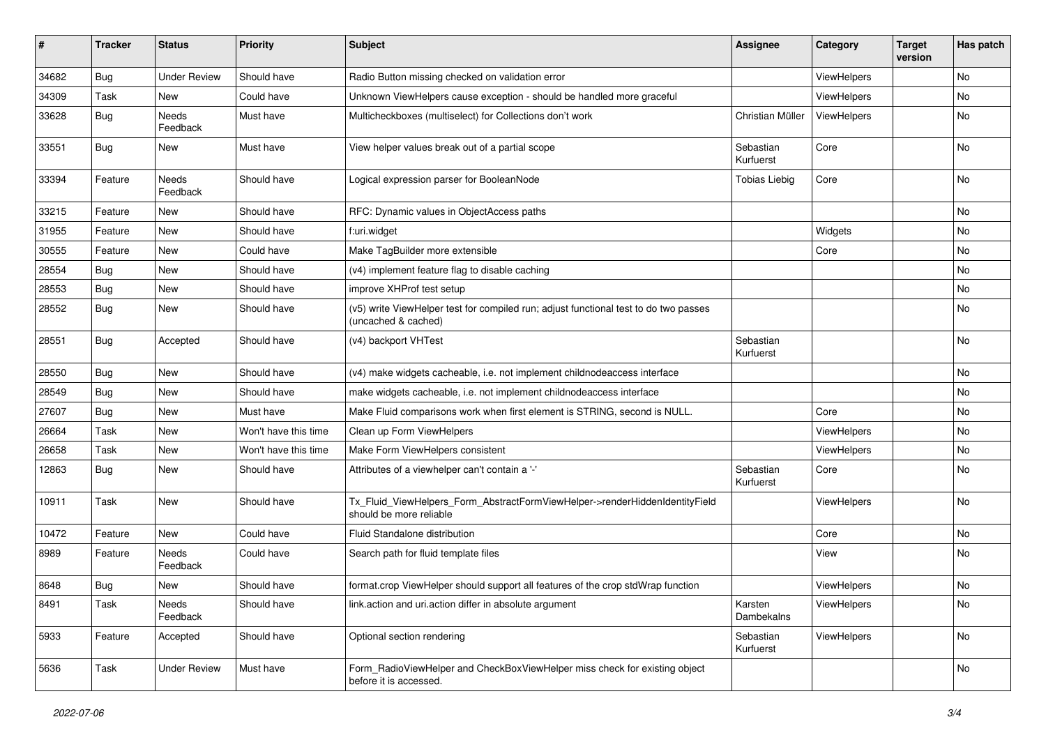| #     | <b>Tracker</b> | <b>Status</b>       | <b>Priority</b>      | <b>Subject</b>                                                                                              | <b>Assignee</b>        | Category    | <b>Target</b><br>version | Has patch |
|-------|----------------|---------------------|----------------------|-------------------------------------------------------------------------------------------------------------|------------------------|-------------|--------------------------|-----------|
| 34682 | Bug            | <b>Under Review</b> | Should have          | Radio Button missing checked on validation error                                                            |                        | ViewHelpers |                          | No        |
| 34309 | Task           | New                 | Could have           | Unknown ViewHelpers cause exception - should be handled more graceful                                       |                        | ViewHelpers |                          | No        |
| 33628 | Bug            | Needs<br>Feedback   | Must have            | Multicheckboxes (multiselect) for Collections don't work                                                    | Christian Müller       | ViewHelpers |                          | No        |
| 33551 | Bug            | New                 | Must have            | View helper values break out of a partial scope                                                             | Sebastian<br>Kurfuerst | Core        |                          | No        |
| 33394 | Feature        | Needs<br>Feedback   | Should have          | Logical expression parser for BooleanNode                                                                   | <b>Tobias Liebig</b>   | Core        |                          | No        |
| 33215 | Feature        | <b>New</b>          | Should have          | RFC: Dynamic values in ObjectAccess paths                                                                   |                        |             |                          | No        |
| 31955 | Feature        | New                 | Should have          | f:uri.widget                                                                                                |                        | Widgets     |                          | No        |
| 30555 | Feature        | New                 | Could have           | Make TagBuilder more extensible                                                                             |                        | Core        |                          | No        |
| 28554 | Bug            | New                 | Should have          | (v4) implement feature flag to disable caching                                                              |                        |             |                          | No        |
| 28553 | Bug            | New                 | Should have          | improve XHProf test setup                                                                                   |                        |             |                          | No        |
| 28552 | Bug            | New                 | Should have          | (v5) write ViewHelper test for compiled run; adjust functional test to do two passes<br>(uncached & cached) |                        |             |                          | No        |
| 28551 | Bug            | Accepted            | Should have          | (v4) backport VHTest                                                                                        | Sebastian<br>Kurfuerst |             |                          | No        |
| 28550 | Bug            | New                 | Should have          | (v4) make widgets cacheable, i.e. not implement childnodeaccess interface                                   |                        |             |                          | No        |
| 28549 | Bug            | New                 | Should have          | make widgets cacheable, i.e. not implement childnodeaccess interface                                        |                        |             |                          | No        |
| 27607 | Bug            | New                 | Must have            | Make Fluid comparisons work when first element is STRING, second is NULL.                                   |                        | Core        |                          | No        |
| 26664 | Task           | New                 | Won't have this time | Clean up Form ViewHelpers                                                                                   |                        | ViewHelpers |                          | No        |
| 26658 | Task           | New                 | Won't have this time | Make Form ViewHelpers consistent                                                                            |                        | ViewHelpers |                          | No        |
| 12863 | Bug            | New                 | Should have          | Attributes of a viewhelper can't contain a '-'                                                              | Sebastian<br>Kurfuerst | Core        |                          | No        |
| 10911 | Task           | New                 | Should have          | Tx_Fluid_ViewHelpers_Form_AbstractFormViewHelper->renderHiddenIdentityField<br>should be more reliable      |                        | ViewHelpers |                          | No        |
| 10472 | Feature        | New                 | Could have           | <b>Fluid Standalone distribution</b>                                                                        |                        | Core        |                          | No        |
| 8989  | Feature        | Needs<br>Feedback   | Could have           | Search path for fluid template files                                                                        |                        | View        |                          | No        |
| 8648  | Bug            | New                 | Should have          | format.crop ViewHelper should support all features of the crop stdWrap function                             |                        | ViewHelpers |                          | No        |
| 8491  | Task           | Needs<br>Feedback   | Should have          | link.action and uri.action differ in absolute argument                                                      | Karsten<br>Dambekalns  | ViewHelpers |                          | No        |
| 5933  | Feature        | Accepted            | Should have          | Optional section rendering                                                                                  | Sebastian<br>Kurfuerst | ViewHelpers |                          | No        |
| 5636  | Task           | <b>Under Review</b> | Must have            | Form_RadioViewHelper and CheckBoxViewHelper miss check for existing object<br>before it is accessed.        |                        |             |                          | No        |